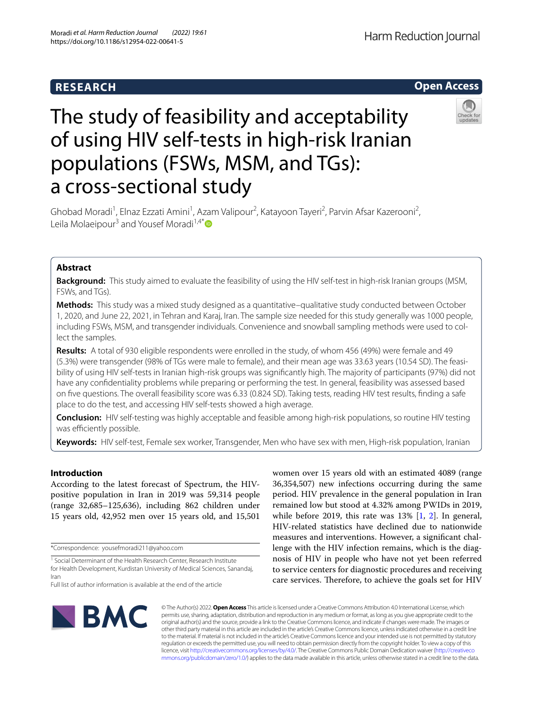## **RESEARCH**

## **Open Access**

# The study of feasibility and acceptability of using HIV self-tests in high-risk Iranian populations (FSWs, MSM, and TGs): a cross-sectional study

Ghobad Moradi<sup>1</sup>, Elnaz Ezzati Amini<sup>1</sup>, Azam Valipour<sup>2</sup>, Katayoon Tayeri<sup>2</sup>, Parvin Afsar Kazerooni<sup>2</sup>, Leila Molaeipour<sup>3</sup> and Yousef Moradi<sup>1,4\*</sup>

## **Abstract**

**Background:** This study aimed to evaluate the feasibility of using the HIV self-test in high-risk Iranian groups (MSM, FSWs, and TGs).

**Methods:** This study was a mixed study designed as a quantitative–qualitative study conducted between October 1, 2020, and June 22, 2021, in Tehran and Karaj, Iran. The sample size needed for this study generally was 1000 people, including FSWs, MSM, and transgender individuals. Convenience and snowball sampling methods were used to collect the samples.

**Results:** A total of 930 eligible respondents were enrolled in the study, of whom 456 (49%) were female and 49 (5.3%) were transgender (98% of TGs were male to female), and their mean age was 33.63 years (10.54 SD). The feasibility of using HIV self-tests in Iranian high-risk groups was signifcantly high. The majority of participants (97%) did not have any confdentiality problems while preparing or performing the test. In general, feasibility was assessed based on fve questions. The overall feasibility score was 6.33 (0.824 SD). Taking tests, reading HIV test results, fnding a safe place to do the test, and accessing HIV self-tests showed a high average.

**Conclusion:** HIV self-testing was highly acceptable and feasible among high-risk populations, so routine HIV testing was efficiently possible.

**Keywords:** HIV self-test, Female sex worker, Transgender, Men who have sex with men, High-risk population, Iranian

## **Introduction**

According to the latest forecast of Spectrum, the HIVpositive population in Iran in 2019 was 59,314 people (range 32,685–125,636), including 862 children under 15 years old, 42,952 men over 15 years old, and 15,501

\*Correspondence: yousefmoradi211@yahoo.com

women over 15 years old with an estimated 4089 (range 36,354,507) new infections occurring during the same period. HIV prevalence in the general population in Iran remained low but stood at 4.32% among PWIDs in 2019, while before 2019, this rate was 13% [\[1](#page-9-0), [2](#page-9-1)]. In general, HIV-related statistics have declined due to nationwide measures and interventions. However, a signifcant challenge with the HIV infection remains, which is the diagnosis of HIV in people who have not yet been referred to service centers for diagnostic procedures and receiving care services. Therefore, to achieve the goals set for HIV



© The Author(s) 2022. **Open Access** This article is licensed under a Creative Commons Attribution 4.0 International License, which permits use, sharing, adaptation, distribution and reproduction in any medium or format, as long as you give appropriate credit to the original author(s) and the source, provide a link to the Creative Commons licence, and indicate if changes were made. The images or other third party material in this article are included in the article's Creative Commons licence, unless indicated otherwise in a credit line to the material. If material is not included in the article's Creative Commons licence and your intended use is not permitted by statutory regulation or exceeds the permitted use, you will need to obtain permission directly from the copyright holder. To view a copy of this licence, visit [http://creativecommons.org/licenses/by/4.0/.](http://creativecommons.org/licenses/by/4.0/) The Creative Commons Public Domain Dedication waiver ([http://creativeco](http://creativecommons.org/publicdomain/zero/1.0/) [mmons.org/publicdomain/zero/1.0/](http://creativecommons.org/publicdomain/zero/1.0/)) applies to the data made available in this article, unless otherwise stated in a credit line to the data.

<sup>&</sup>lt;sup>1</sup> Social Determinant of the Health Research Center, Research Institute for Health Development, Kurdistan University of Medical Sciences, Sanandaj, Iran

Full list of author information is available at the end of the article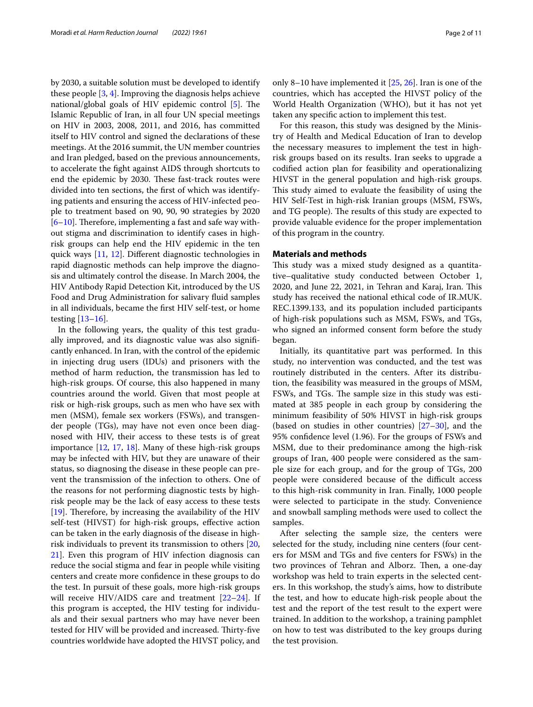by 2030, a suitable solution must be developed to identify these people [\[3](#page-9-2), [4\]](#page-9-3). Improving the diagnosis helps achieve national/global goals of HIV epidemic control  $[5]$  $[5]$  $[5]$ . The Islamic Republic of Iran, in all four UN special meetings on HIV in 2003, 2008, 2011, and 2016, has committed itself to HIV control and signed the declarations of these meetings. At the 2016 summit, the UN member countries and Iran pledged, based on the previous announcements, to accelerate the fght against AIDS through shortcuts to end the epidemic by 2030. These fast-track routes were divided into ten sections, the frst of which was identifying patients and ensuring the access of HIV-infected people to treatment based on 90, 90, 90 strategies by 2020  $[6–10]$  $[6–10]$  $[6–10]$ . Therefore, implementing a fast and safe way without stigma and discrimination to identify cases in highrisk groups can help end the HIV epidemic in the ten quick ways [[11](#page-9-7), [12\]](#page-9-8). Diferent diagnostic technologies in rapid diagnostic methods can help improve the diagnosis and ultimately control the disease. In March 2004, the HIV Antibody Rapid Detection Kit, introduced by the US Food and Drug Administration for salivary fuid samples in all individuals, became the frst HIV self-test, or home testing [[13–](#page-9-9)[16](#page-9-10)].

In the following years, the quality of this test gradually improved, and its diagnostic value was also signifcantly enhanced. In Iran, with the control of the epidemic in injecting drug users (IDUs) and prisoners with the method of harm reduction, the transmission has led to high-risk groups. Of course, this also happened in many countries around the world. Given that most people at risk or high-risk groups, such as men who have sex with men (MSM), female sex workers (FSWs), and transgender people (TGs), may have not even once been diagnosed with HIV, their access to these tests is of great importance [\[12](#page-9-8), [17,](#page-10-0) [18\]](#page-10-1). Many of these high-risk groups may be infected with HIV, but they are unaware of their status, so diagnosing the disease in these people can prevent the transmission of the infection to others. One of the reasons for not performing diagnostic tests by highrisk people may be the lack of easy access to these tests [[19\]](#page-10-2). Therefore, by increasing the availability of the HIV self-test (HIVST) for high-risk groups, efective action can be taken in the early diagnosis of the disease in highrisk individuals to prevent its transmission to others [\[20](#page-10-3), [21\]](#page-10-4). Even this program of HIV infection diagnosis can reduce the social stigma and fear in people while visiting centers and create more confdence in these groups to do the test. In pursuit of these goals, more high-risk groups will receive HIV/AIDS care and treatment  $[22-24]$  $[22-24]$  $[22-24]$ . If this program is accepted, the HIV testing for individuals and their sexual partners who may have never been tested for HIV will be provided and increased. Thirty-five countries worldwide have adopted the HIVST policy, and only 8–10 have implemented it [\[25,](#page-10-7) [26](#page-10-8)]. Iran is one of the countries, which has accepted the HIVST policy of the World Health Organization (WHO), but it has not yet taken any specifc action to implement this test.

For this reason, this study was designed by the Ministry of Health and Medical Education of Iran to develop the necessary measures to implement the test in highrisk groups based on its results. Iran seeks to upgrade a codifed action plan for feasibility and operationalizing HIVST in the general population and high-risk groups. This study aimed to evaluate the feasibility of using the HIV Self-Test in high-risk Iranian groups (MSM, FSWs, and TG people). The results of this study are expected to provide valuable evidence for the proper implementation of this program in the country.

### **Materials and methods**

This study was a mixed study designed as a quantitative–qualitative study conducted between October 1, 2020, and June 22, 2021, in Tehran and Karaj, Iran. This study has received the national ethical code of IR.MUK. REC.1399.133, and its population included participants of high-risk populations such as MSM, FSWs, and TGs, who signed an informed consent form before the study began.

Initially, its quantitative part was performed. In this study, no intervention was conducted, and the test was routinely distributed in the centers. After its distribution, the feasibility was measured in the groups of MSM, FSWs, and TGs. The sample size in this study was estimated at 385 people in each group by considering the minimum feasibility of 50% HIVST in high-risk groups (based on studies in other countries)  $[27-30]$  $[27-30]$  $[27-30]$ , and the 95% confdence level (1.96). For the groups of FSWs and MSM, due to their predominance among the high-risk groups of Iran, 400 people were considered as the sample size for each group, and for the group of TGs, 200 people were considered because of the difficult access to this high-risk community in Iran. Finally, 1000 people were selected to participate in the study. Convenience and snowball sampling methods were used to collect the samples.

After selecting the sample size, the centers were selected for the study, including nine centers (four centers for MSM and TGs and fve centers for FSWs) in the two provinces of Tehran and Alborz. Then, a one-day workshop was held to train experts in the selected centers. In this workshop, the study's aims, how to distribute the test, and how to educate high-risk people about the test and the report of the test result to the expert were trained. In addition to the workshop, a training pamphlet on how to test was distributed to the key groups during the test provision.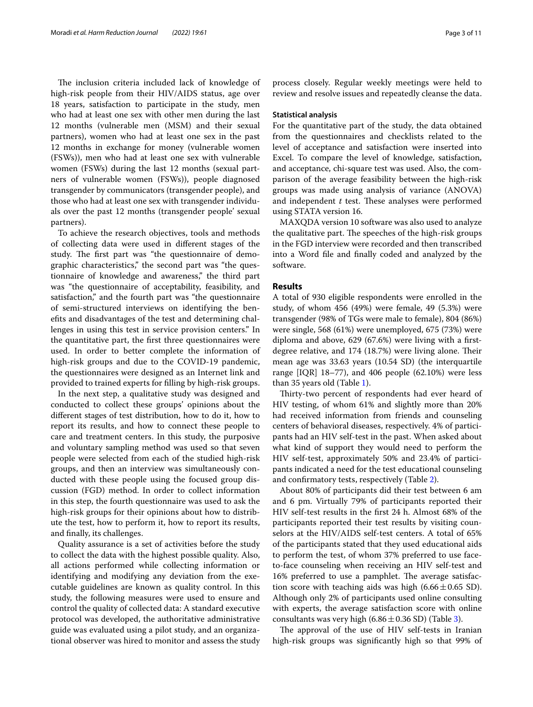The inclusion criteria included lack of knowledge of high-risk people from their HIV/AIDS status, age over 18 years, satisfaction to participate in the study, men who had at least one sex with other men during the last 12 months (vulnerable men (MSM) and their sexual partners), women who had at least one sex in the past 12 months in exchange for money (vulnerable women (FSWs)), men who had at least one sex with vulnerable women (FSWs) during the last 12 months (sexual partners of vulnerable women (FSWs)), people diagnosed transgender by communicators (transgender people), and those who had at least one sex with transgender individuals over the past 12 months (transgender people' sexual partners).

To achieve the research objectives, tools and methods of collecting data were used in diferent stages of the study. The first part was "the questionnaire of demographic characteristics," the second part was "the questionnaire of knowledge and awareness," the third part was "the questionnaire of acceptability, feasibility, and satisfaction," and the fourth part was "the questionnaire of semi-structured interviews on identifying the benefts and disadvantages of the test and determining challenges in using this test in service provision centers." In the quantitative part, the frst three questionnaires were used. In order to better complete the information of high-risk groups and due to the COVID-19 pandemic, the questionnaires were designed as an Internet link and provided to trained experts for flling by high-risk groups.

In the next step, a qualitative study was designed and conducted to collect these groups' opinions about the diferent stages of test distribution, how to do it, how to report its results, and how to connect these people to care and treatment centers. In this study, the purposive and voluntary sampling method was used so that seven people were selected from each of the studied high-risk groups, and then an interview was simultaneously conducted with these people using the focused group discussion (FGD) method. In order to collect information in this step, the fourth questionnaire was used to ask the high-risk groups for their opinions about how to distribute the test, how to perform it, how to report its results, and fnally, its challenges.

Quality assurance is a set of activities before the study to collect the data with the highest possible quality. Also, all actions performed while collecting information or identifying and modifying any deviation from the executable guidelines are known as quality control. In this study, the following measures were used to ensure and control the quality of collected data: A standard executive protocol was developed, the authoritative administrative guide was evaluated using a pilot study, and an organizational observer was hired to monitor and assess the study process closely. Regular weekly meetings were held to review and resolve issues and repeatedly cleanse the data.

#### **Statistical analysis**

For the quantitative part of the study, the data obtained from the questionnaires and checklists related to the level of acceptance and satisfaction were inserted into Excel. To compare the level of knowledge, satisfaction, and acceptance, chi-square test was used. Also, the comparison of the average feasibility between the high-risk groups was made using analysis of variance (ANOVA) and independent  $t$  test. These analyses were performed using STATA version 16.

MAXQDA version 10 software was also used to analyze the qualitative part. The speeches of the high-risk groups in the FGD interview were recorded and then transcribed into a Word fle and fnally coded and analyzed by the software.

#### **Results**

A total of 930 eligible respondents were enrolled in the study, of whom 456 (49%) were female, 49 (5.3%) were transgender (98% of TGs were male to female), 804 (86%) were single, 568 (61%) were unemployed, 675 (73%) were diploma and above, 629 (67.6%) were living with a frstdegree relative, and 174 (18.7%) were living alone. Their mean age was 33.63 years (10.54 SD) (the interquartile range  $[IQR]$  18–77), and 406 people  $(62.10%)$  were less than 35 years old (Table [1](#page-3-0)).

Thirty-two percent of respondents had ever heard of HIV testing, of whom 61% and slightly more than 20% had received information from friends and counseling centers of behavioral diseases, respectively. 4% of participants had an HIV self-test in the past. When asked about what kind of support they would need to perform the HIV self-test, approximately 50% and 23.4% of participants indicated a need for the test educational counseling and confrmatory tests, respectively (Table [2](#page-4-0)).

About 80% of participants did their test between 6 am and 6 pm. Virtually 79% of participants reported their HIV self-test results in the frst 24 h. Almost 68% of the participants reported their test results by visiting counselors at the HIV/AIDS self-test centers. A total of 65% of the participants stated that they used educational aids to perform the test, of whom 37% preferred to use faceto-face counseling when receiving an HIV self-test and 16% preferred to use a pamphlet. The average satisfaction score with teaching aids was high  $(6.66 \pm 0.65$  SD). Although only 2% of participants used online consulting with experts, the average satisfaction score with online consultants was very high  $(6.86 \pm 0.36$  SD) (Table [3](#page-5-0)).

The approval of the use of HIV self-tests in Iranian high-risk groups was signifcantly high so that 99% of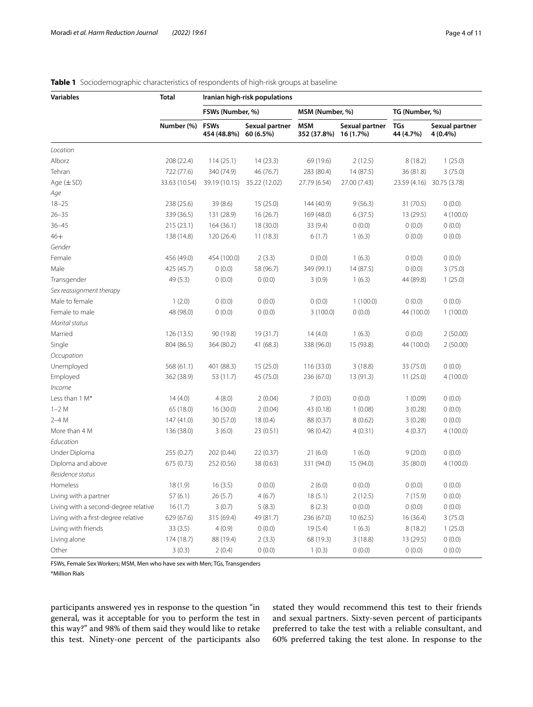<span id="page-3-0"></span>

| <b>Variables</b>                     | <b>Total</b>  | Iranian high-risk populations        |                |                           |                             |                         |                            |  |  |
|--------------------------------------|---------------|--------------------------------------|----------------|---------------------------|-----------------------------|-------------------------|----------------------------|--|--|
|                                      |               | FSWs (Number, %)                     |                | MSM (Number, %)           |                             | TG (Number, %)          |                            |  |  |
|                                      | Number (%)    | <b>FSWs</b><br>454 (48.8%) 60 (6.5%) | Sexual partner | <b>MSM</b><br>352 (37.8%) | Sexual partner<br>16 (1.7%) | <b>TGs</b><br>44 (4.7%) | Sexual partner<br>4 (0.4%) |  |  |
| Location                             |               |                                      |                |                           |                             |                         |                            |  |  |
| Alborz                               | 208 (22.4)    | 114(25.1)                            | 14(23.3)       | 69 (19.6)                 | 2(12.5)                     | 8(18.2)                 | 1(25.0)                    |  |  |
| Tehran                               | 722 (77.6)    | 340 (74.9)                           | 46 (76.7)      | 283 (80.4)                | 14(87.5)                    | 36 (81.8)               | 3(75.0)                    |  |  |
| Age $(\pm SD)$                       | 33.63 (10.54) | 39.19 (10.15)                        | 35.22 (12.02)  | 27.79 (6.54)              | 27.00 (7.43)                |                         | 23.59 (4.16) 30.75 (3.78)  |  |  |
| Age                                  |               |                                      |                |                           |                             |                         |                            |  |  |
| $18 - 25$                            | 238 (25.6)    | 39(8.6)                              | 15(25.0)       | 144 (40.9)                | 9(56.3)                     | 31 (70.5)               | 0(0.0)                     |  |  |
| $26 - 35$                            | 339 (36.5)    | 131 (28.9)                           | 16(26.7)       | 169 (48.0)                | 6(37.5)                     | 13 (29.5)               | 4(100.0)                   |  |  |
| $36 - 45$                            | 215 (23.1)    | 164(36.1)                            | 18 (30.0)      | 33 (9.4)                  | 0(0.0)                      | 0(0.0)                  | 0(0.0)                     |  |  |
| $46+$                                | 138 (14.8)    | 120 (26.4)                           | 11(18.3)       | 6(1.7)                    | 1(6.3)                      | 0(0.0)                  | 0(0.0)                     |  |  |
| Gender                               |               |                                      |                |                           |                             |                         |                            |  |  |
| Female                               | 456 (49.0)    | 454 (100.0)                          | 2(3.3)         | 0(0.0)                    | 1(6.3)                      | 0(0.0)                  | (0.0)                      |  |  |
| Male                                 | 425 (45.7)    | 0(0.0)                               | 58 (96.7)      | 349 (99.1)                | 14 (87.5)                   | 0(0.0)                  | 3(75.0)                    |  |  |
| Transgender                          | 49 (5.3)      | 0(0.0)                               | 0(0.0)         | 3(0.9)                    | 1(6.3)                      | 44 (89.8)               | 1(25.0)                    |  |  |
| Sex reassignment therapy             |               |                                      |                |                           |                             |                         |                            |  |  |
| Male to female                       | 1(2.0)        | 0(0.0)                               | 0(0.0)         | 0(0.0)                    | 1(100.0)                    | 0(0.0)                  | 0(0.0)                     |  |  |
| Female to male                       | 48 (98.0)     | 0(0.0)                               | 0(0.0)         | 3(100.0)                  | 0(0.0)                      | 44 (100.0)              | 1(100.0)                   |  |  |
| Marital status                       |               |                                      |                |                           |                             |                         |                            |  |  |
| Married                              | 126 (13.5)    | 90 (19.8)                            | 19 (31.7)      | 14(4.0)                   | 1(6.3)                      | 0(0.0)                  | 2(50.00)                   |  |  |
| Single                               | 804 (86.5)    | 364 (80.2)                           | 41 (68.3)      | 338 (96.0)                | 15 (93.8)                   | 44 (100.0)              | 2(50.00)                   |  |  |
| Occupation                           |               |                                      |                |                           |                             |                         |                            |  |  |
| Unemployed                           | 568 (61.1)    | 401 (88.3)                           | 15(25.0)       | 116 (33.0)                | 3(18.8)                     | 33 (75.0)               | 0(0.0)                     |  |  |
| Employed                             | 362 (38.9)    | 53 (11.7)                            | 45 (75.0)      | 236 (67.0)                | 13 (91.3)                   | 11(25.0)                | 4(100.0)                   |  |  |
| Income                               |               |                                      |                |                           |                             |                         |                            |  |  |
| Less than 1 M*                       | 14(4.0)       | 4(8.0)                               | 2(0.04)        | 7(0.03)                   | 0(0.0)                      | 1(0.09)                 | 0(0.0)                     |  |  |
| $1-2M$                               | 65 (18.0)     | 16 (30.0)                            | 2(0.04)        | 43 (0.18)                 | 1(0.08)                     | 3(0.28)                 | 0(0.0)                     |  |  |
| $2-4M$                               | 147(41.0)     | 30 (57.0)                            | 18(0.4)        | 88 (0.37)                 | 8(0.62)                     | 3(0.28)                 | 0(0.0)                     |  |  |
| More than 4 M                        | 136 (38.0)    | 3(6.0)                               | 23 (0.51)      | 98 (0.42)                 | 4(0.31)                     | 4(0.37)                 | 4(100.0)                   |  |  |
| Education                            |               |                                      |                |                           |                             |                         |                            |  |  |
| Under Diploma                        | 255 (0.27)    | 202 (0.44)                           | 22(0.37)       | 21(6.0)                   | 1(6.0)                      | 9(20.0)                 | 0(0.0)                     |  |  |
| Diploma and above                    | 675 (0.73)    | 252 (0.56)                           | 38 (0.63)      | 331 (94.0)                | 15 (94.0)                   | 35 (80.0)               | 4(100.0)                   |  |  |
| Residence status                     |               |                                      |                |                           |                             |                         |                            |  |  |
| Homeless                             | 18(1.9)       | 16(3.5)                              | 0(0.0)         | 2(6.0)                    | 0(0.0)                      | 0(0.0)                  | 0(0.0)                     |  |  |
| Living with a partner                | 57(6.1)       | 26(5.7)                              | 4(6.7)         | 18(5.1)                   | 2(12.5)                     | 7(15.9)                 | 0(0.0)                     |  |  |
| Living with a second-degree relative | 16(1.7)       | 3(0.7)                               | 5(8.3)         | 8(2.3)                    | 0(0.0)                      | 0(0.0)                  | 0(0.0)                     |  |  |
| Living with a first-degree relative  | 629 (67.6)    | 315 (69.4)                           | 49 (81.7)      | 236 (67.0)                | 10(62.5)                    | 16 (36.4)               | 3(75.0)                    |  |  |
| Living with friends                  | 33(3.5)       | 4(0.9)                               | 0(0.0)         | 19(5.4)                   | 1(6.3)                      | 8(18.2)                 | 1(25.0)                    |  |  |
| Living alone                         | 174 (18.7)    | 88 (19.4)                            | 2(3.3)         | 68 (19.3)                 | 3(18.8)                     | 13 (29.5)               | 0(0.0)                     |  |  |
| Other                                | 3(0.3)        | 2(0.4)                               | 0(0.0)         | 1(0.3)                    | 0(0.0)                      | 0(0.0)                  | 0(0.0)                     |  |  |

FSWs, Female Sex Workers; MSM, Men who have sex with Men; TGs, Transgenders

\*Million Rials

participants answered yes in response to the question "in general, was it acceptable for you to perform the test in this way?" and 98% of them said they would like to retake this test. Ninety-one percent of the participants also stated they would recommend this test to their friends and sexual partners. Sixty-seven percent of participants preferred to take the test with a reliable consultant, and 60% preferred taking the test alone. In response to the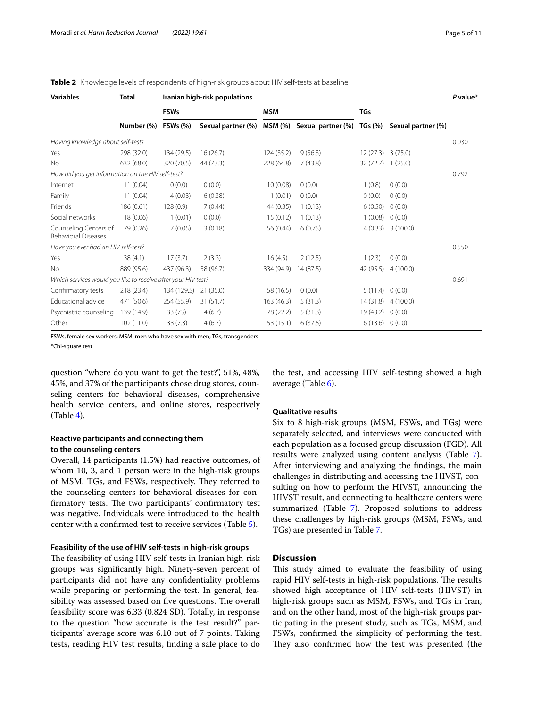<span id="page-4-0"></span>

|  | Table 2 Knowledge levels of respondents of high-risk groups about HIV self-tests at baseline |  |  |
|--|----------------------------------------------------------------------------------------------|--|--|
|  |                                                                                              |  |  |

| <b>Variables</b>                                              | <b>Total</b> | Iranian high-risk populations |                    |            |                    |                |                    |       |
|---------------------------------------------------------------|--------------|-------------------------------|--------------------|------------|--------------------|----------------|--------------------|-------|
|                                                               |              | <b>FSWs</b>                   |                    | <b>MSM</b> |                    | <b>TGs</b>     |                    |       |
|                                                               | Number (%)   | <b>FSWs (%)</b>               | Sexual partner (%) | MSM (%)    | Sexual partner (%) | <b>TGs (%)</b> | Sexual partner (%) |       |
| Having knowledge about self-tests                             |              |                               |                    |            |                    |                |                    | 0.030 |
| Yes                                                           | 298 (32.0)   | 134 (29.5)                    | 16(26.7)           | 124(35.2)  | 9(56.3)            | 12(27.3)       | 3(75.0)            |       |
| <b>No</b>                                                     | 632 (68.0)   | 320 (70.5)                    | 44 (73.3)          | 228 (64.8) | 7(43.8)            | 32 (72.7)      | 1(25.0)            |       |
| How did you get information on the HIV self-test?             |              |                               |                    |            |                    |                |                    | 0.792 |
| Internet                                                      | 11(0.04)     | 0(0.0)                        | 0(0.0)             | 10(0.08)   | 0(0.0)             | 1(0.8)         | 0(0.0)             |       |
| Family                                                        | 11(0.04)     | 4(0.03)                       | 6(0.38)            | 1(0.01)    | 0(0.0)             | 0(0.0)         | 0(0.0)             |       |
| Friends                                                       | 186 (0.61)   | 128(0.9)                      | 7(0.44)            | 44 (0.35)  | 1(0.13)            | 6(0.50)        | 0(0.0)             |       |
| Social networks                                               | 18 (0.06)    | 1(0.01)                       | 0(0.0)             | 15(0.12)   | 1(0.13)            | 1(0.08)        | 0(0.0)             |       |
| Counseling Centers of<br><b>Behavioral Diseases</b>           | 79 (0.26)    | 7(0.05)                       | 3(0.18)            | 56 (0.44)  | 6(0.75)            | 4(0.33)        | 3(100.0)           |       |
| Have you ever had an HIV self-test?                           |              |                               |                    |            |                    |                |                    | 0.550 |
| Yes                                                           | 38(4.1)      | 17(3.7)                       | 2(3.3)             | 16(4.5)    | 2(12.5)            | 1(2.3)         | 0(0.0)             |       |
| <b>No</b>                                                     | 889 (95.6)   | 437 (96.3)                    | 58 (96.7)          | 334 (94.9) | 14(87.5)           | 42 (95.5)      | 4(100.0)           |       |
| Which services would you like to receive after your HIV test? |              |                               |                    |            |                    |                |                    | 0.691 |
| Confirmatory tests                                            | 218 (23.4)   | 134 (129.5)                   | 21(35.0)           | 58 (16.5)  | 0(0.0)             | 5(11.4)        | 0(0.0)             |       |
| Educational advice                                            | 471 (50.6)   | 254 (55.9)                    | 31(51.7)           | 163 (46.3) | 5(31.3)            | 14(31.8)       | 4(100.0)           |       |
| Psychiatric counseling                                        | 139 (14.9)   | 33(73)                        | 4(6.7)             | 78 (22.2)  | 5(31.3)            | 19 (43.2)      | 0(0.0)             |       |
| Other                                                         | 102 (11.0)   | 33(7.3)                       | 4(6.7)             | 53 (15.1)  | 6(37.5)            | 6(13.6)        | 0(0.0)             |       |

FSWs, female sex workers; MSM, men who have sex with men; TGs, transgenders

\*Chi-square test

question "where do you want to get the test?", 51%, 48%, 45%, and 37% of the participants chose drug stores, counseling centers for behavioral diseases, comprehensive health service centers, and online stores, respectively (Table [4](#page-6-0)).

## **Reactive participants and connecting them to the counseling centers**

Overall, 14 participants (1.5%) had reactive outcomes, of whom 10, 3, and 1 person were in the high-risk groups of MSM, TGs, and FSWs, respectively. They referred to the counseling centers for behavioral diseases for confirmatory tests. The two participants' confirmatory test was negative. Individuals were introduced to the health center with a confrmed test to receive services (Table [5\)](#page-6-1).

## **Feasibility of the use of HIV self-tests in high-risk groups**

The feasibility of using HIV self-tests in Iranian high-risk groups was signifcantly high. Ninety-seven percent of participants did not have any confdentiality problems while preparing or performing the test. In general, feasibility was assessed based on five questions. The overall feasibility score was 6.33 (0.824 SD). Totally, in response to the question "how accurate is the test result?" participants' average score was 6.10 out of 7 points. Taking tests, reading HIV test results, fnding a safe place to do

the test, and accessing HIV self-testing showed a high average (Table [6\)](#page-7-0).

#### **Qualitative results**

Six to 8 high-risk groups (MSM, FSWs, and TGs) were separately selected, and interviews were conducted with each population as a focused group discussion (FGD). All results were analyzed using content analysis (Table [7](#page-8-0)). After interviewing and analyzing the fndings, the main challenges in distributing and accessing the HIVST, consulting on how to perform the HIVST, announcing the HIVST result, and connecting to healthcare centers were summarized (Table [7\)](#page-8-0). Proposed solutions to address these challenges by high-risk groups (MSM, FSWs, and TGs) are presented in Table [7.](#page-8-0)

#### **Discussion**

This study aimed to evaluate the feasibility of using rapid HIV self-tests in high-risk populations. The results showed high acceptance of HIV self-tests (HIVST) in high-risk groups such as MSM, FSWs, and TGs in Iran, and on the other hand, most of the high-risk groups participating in the present study, such as TGs, MSM, and FSWs, confrmed the simplicity of performing the test. They also confirmed how the test was presented (the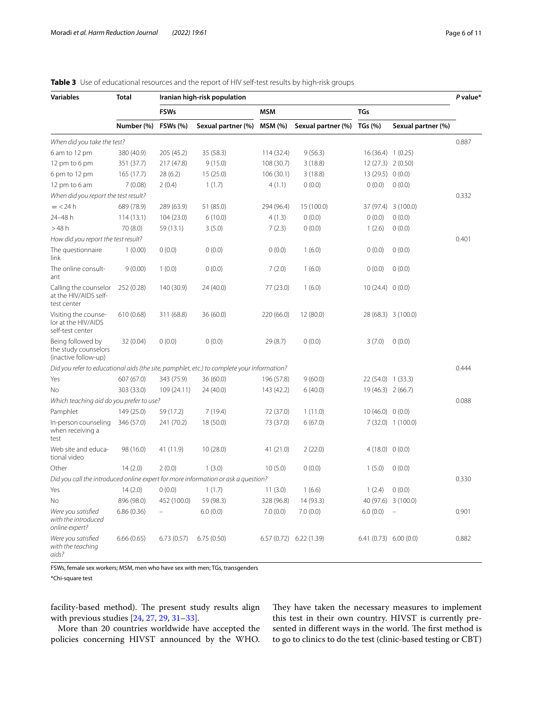| <b>Variables</b>                                                  | <b>Total</b>                  | Iranian high-risk population |                                                                                            |            |                            |                          |                     |       |  |
|-------------------------------------------------------------------|-------------------------------|------------------------------|--------------------------------------------------------------------------------------------|------------|----------------------------|--------------------------|---------------------|-------|--|
|                                                                   |                               | <b>FSWs</b>                  |                                                                                            | MSM        |                            | <b>TGs</b>               |                     |       |  |
|                                                                   | Number (%) FSWs (%)           |                              | Sexual partner (%) MSM (%)                                                                 |            | Sexual partner (%) TGs (%) |                          | Sexual partner (%)  |       |  |
| When did you take the test?                                       |                               |                              |                                                                                            |            |                            |                          |                     | 0.887 |  |
| 6 am to 12 pm                                                     | 380 (40.9)                    | 205 (45.2)                   | 35 (58.3)                                                                                  | 114 (32.4) | 9(56.3)                    | 16 (36.4) 1 (0.25)       |                     |       |  |
| 12 pm to 6 pm                                                     | 351 (37.7)                    | 217 (47.8)                   | 9(15.0)                                                                                    | 108 (30.7) | 3(18.8)                    | 12 (27.3) 2 (0.50)       |                     |       |  |
| 6 pm to 12 pm                                                     | 165(17.7)                     | 28(6.2)                      | 15 (25.0)                                                                                  | 106(30.1)  | 3(18.8)                    | 13 (29.5) 0 (0.0)        |                     |       |  |
| 12 pm to 6 am                                                     | 7(0.08)                       | 2(0.4)                       | 1(1.7)                                                                                     | 4(1.1)     | 0(0.0)                     | 0(0.0)                   | 0(0.0)              |       |  |
| When did you report the test result?                              |                               |                              |                                                                                            |            |                            |                          |                     | 0.332 |  |
| $=$ <24 h                                                         | 689 (78.9)                    | 289 (63.9)                   | 51 (85.0)                                                                                  | 294 (96.4) | 15 (100.0)                 |                          | 37 (97.4) 3 (100.0) |       |  |
| 24-48 h                                                           | 114(13.1)                     | 104(23.0)                    | 6(10.0)                                                                                    | 4(1.3)     | 0(0.0)                     | 0(0.0)                   | 0(0.0)              |       |  |
| >48h                                                              | 70 (8.0)                      | 59 (13.1)                    | 3(5.0)                                                                                     | 7(2.3)     | 0(0.0)                     | 1(2.6)                   | 0(0.0)              |       |  |
| How did you report the test result?                               |                               |                              |                                                                                            |            |                            |                          |                     | 0.401 |  |
| The questionnaire<br>link                                         | 1(0.00)                       | 0(0.0)                       | 0(0.0)                                                                                     | 0(0.0)     | 1(6.0)                     | 0(0.0)                   | 0(0.0)              |       |  |
| The online consult-<br>ant                                        | 9(0.00)                       | 1(0.0)                       | 0(0.0)                                                                                     | 7(2.0)     | 1(6.0)                     | 0(0.0)                   | 0(0.0)              |       |  |
| Calling the counselor<br>at the HIV/AIDS self-<br>test center     | 252 (0.28)                    | 140 (30.9)                   | 24 (40.0)                                                                                  | 77 (23.0)  | 1(6.0)                     | 10(24.4) 0(0.0)          |                     |       |  |
| Visiting the counse-<br>lor at the HIV/AIDS<br>self-test center   | 610(0.68)                     | 311 (68.8)                   | 36 (60.0)                                                                                  | 220 (66.0) | 12 (80.0)                  |                          | 28 (68.3) 3 (100.0) |       |  |
| Being followed by<br>the study counselors<br>(inactive follow-up) | 32 (0.04)                     | 0(0.0)                       | 0(0.0)                                                                                     | 29 (8.7)   | 0(0.0)                     | 3(7.0)                   | 0(0.0)              |       |  |
|                                                                   |                               |                              | Did you refer to educational aids (the site, pamphlet, etc.) to complete your information? |            |                            |                          |                     | 0.444 |  |
| Yes                                                               | 607 (67.0)                    | 343 (75.9)                   | 36 (60.0)                                                                                  | 196 (57.8) | 9(60.0)                    | 22 (54.0) 1 (33.3)       |                     |       |  |
| No                                                                | 303 (33.0)                    | 109 (24.11)                  | 24 (40.0)                                                                                  | 143 (42.2) | 6(40.0)                    | 19 (46.3) 2 (66.7)       |                     |       |  |
| Which teaching aid do you prefer to use?                          |                               |                              |                                                                                            |            |                            |                          |                     | 0.088 |  |
| Pamphlet                                                          | 149 (25.0)                    | 59 (17.2)                    | 7(19.4)                                                                                    | 72 (37.0)  | 1(11.0)                    | 10(46.0) 0(0.0)          |                     |       |  |
| In-person counseling<br>when receiving a<br>test                  | 346 (57.0)                    | 241 (70.2)                   | 18 (50.0)                                                                                  | 73 (37.0)  | 6(67.0)                    |                          | 7 (32.0) 1 (100.0)  |       |  |
| Web site and educa-<br>tional video                               | 98 (16.0)                     | 41 (11.9)                    | 10(28.0)                                                                                   | 41 (21.0)  | 2(22.0)                    | 4(18.0) 0(0.0)           |                     |       |  |
| Other                                                             | 14(2.0)                       | 2(0.0)                       | 1(3.0)                                                                                     | 10(5.0)    | 0(0.0)                     | 1(5.0)                   | 0(0.0)              |       |  |
|                                                                   |                               |                              | Did you call the introduced online expert for more information or ask a question?          |            |                            |                          |                     | 0.330 |  |
| Yes                                                               | $14(2.0)$ 0 $(0.0)$ 1 $(1.7)$ |                              |                                                                                            | 11(3.0)    | 1(6.6)                     | 1(2.4) 0(0.0)            |                     |       |  |
| No                                                                | 896 (98.0)                    | 452 (100.0)                  | 59 (98.3)                                                                                  | 328 (96.8) | 14 (93.3)                  |                          | 40 (97.6) 3 (100.0) |       |  |
| Were you satisfied<br>with the introduced<br>online expert?       | 6.86(0.36)                    |                              | 6.0(0.0)                                                                                   | 7.0(0.0)   | 7.0(0.0)                   | 6.0(0.0)                 | $\equiv$            | 0.901 |  |
| Were you satisfied<br>with the teaching<br>aids?                  | 6.66(0.65)                    | 6.73(0.57)                   | 6.75(0.50)                                                                                 |            | 6.57 (0.72) 6.22 (1.39)    | $6.41(0.73)$ $6.00(0.0)$ |                     | 0.882 |  |

## <span id="page-5-0"></span>**Table 3** Use of educational resources and the report of HIV self-test results by high-risk groups

FSWs, female sex workers; MSM, men who have sex with men; TGs, transgenders

\*Chi-square test

facility-based method). The present study results align with previous studies [[24,](#page-10-6) [27](#page-10-9), [29](#page-10-11), [31–](#page-10-12)[33\]](#page-10-13).

More than 20 countries worldwide have accepted the policies concerning HIVST announced by the WHO.

They have taken the necessary measures to implement this test in their own country. HIVST is currently presented in different ways in the world. The first method is to go to clinics to do the test (clinic-based testing or CBT)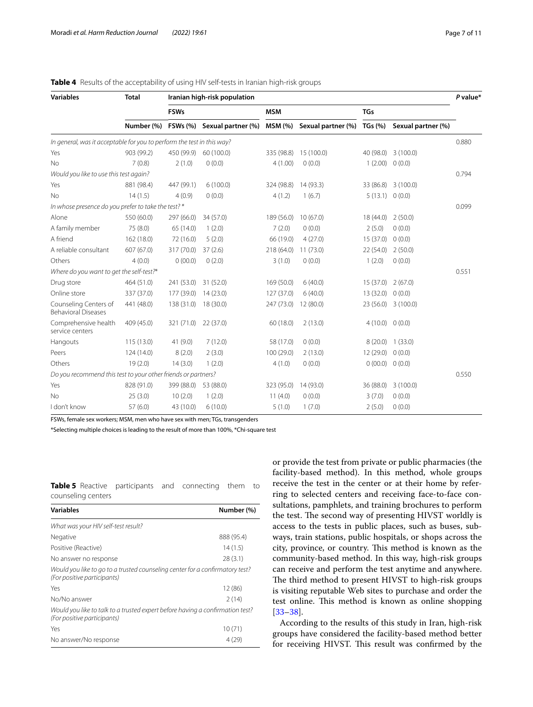| <b>Variables</b>                                                       | <b>Total</b> | Iranian high-risk population |                             |            |                    |                |                     |       |  |
|------------------------------------------------------------------------|--------------|------------------------------|-----------------------------|------------|--------------------|----------------|---------------------|-------|--|
|                                                                        |              | <b>FSWs</b>                  |                             | <b>MSM</b> |                    | <b>TGs</b>     |                     |       |  |
|                                                                        | Number (%)   |                              | FSWs (%) Sexual partner (%) | MSM (%)    | Sexual partner (%) | <b>TGs (%)</b> | Sexual partner (%)  |       |  |
| In general, was it acceptable for you to perform the test in this way? |              |                              |                             |            |                    |                |                     | 0.880 |  |
| Yes                                                                    | 903 (99.2)   | 450 (99.9)                   | 60 (100.0)                  | 335 (98.8) | 15 (100.0)         | 40 (98.0)      | 3(100.0)            |       |  |
| <b>No</b>                                                              | 7(0.8)       | 2(1.0)                       | 0(0.0)                      | 4(1.00)    | 0(0.0)             | 1(2.00)        | 0(0.0)              |       |  |
| Would you like to use this test again?                                 |              |                              |                             |            |                    |                |                     | 0.794 |  |
| Yes                                                                    | 881 (98.4)   | 447 (99.1)                   | 6(100.0)                    | 324 (98.8) | 14(93.3)           |                | 33 (86.8) 3 (100.0) |       |  |
| <b>No</b>                                                              | 14(1.5)      | 4(0.9)                       | 0(0.0)                      | 4(1.2)     | 1(6.7)             | 5(13.1)        | 0(0.0)              |       |  |
| In whose presence do you prefer to take the test? *                    |              |                              |                             |            |                    |                |                     | 0.099 |  |
| Alone                                                                  | 550 (60.0)   | 297 (66.0)                   | 34 (57.0)                   | 189 (56.0) | 10(67.0)           | 18(44.0)       | 2(50.0)             |       |  |
| A family member                                                        | 75 (8.0)     | 65 (14.0)                    | 1(2.0)                      | 7(2.0)     | 0(0.0)             | 2(5.0)         | 0(0.0)              |       |  |
| A friend                                                               | 162 (18.0)   | 72 (16.0)                    | 5(2.0)                      | 66 (19.0)  | 4(27.0)            | 15 (37.0)      | 0(0.0)              |       |  |
| A reliable consultant                                                  | 607 (67.0)   | 317 (70.0)                   | 37(2.6)                     | 218 (64.0) | 11(73.0)           | 22 (54.0)      | 2(50.0)             |       |  |
| Others                                                                 | 4(0.0)       | 0(00.0)                      | 0(2.0)                      | 3(1.0)     | 0(0.0)             | 1(2.0)         | 0(0.0)              |       |  |
| Where do you want to get the self-test?*                               |              |                              |                             |            |                    |                |                     | 0.551 |  |
| Drug store                                                             | 464 (51.0)   | 241 (53.0)                   | 31 (52.0)                   | 169 (50.0) | 6(40.0)            | 15(37.0)       | 2(67.0)             |       |  |
| Online store                                                           | 337 (37.0)   | 177 (39.0)                   | 14(23.0)                    | 127 (37.0) | 6(40.0)            | 13 (32.0)      | 0(0.0)              |       |  |
| Counseling Centers of<br><b>Behavioral Diseases</b>                    | 441 (48.0)   | 138 (31.0)                   | 18 (30.0)                   | 247 (73.0) | 12(80.0)           | 23(56.0)       | 3(100.0)            |       |  |
| Comprehensive health<br>service centers                                | 409 (45.0)   | 321 (71.0)                   | 22(37.0)                    | 60(18.0)   | 2(13.0)            | 4(10.0)        | 0(0.0)              |       |  |
| Hangouts                                                               | 115 (13.0)   | 41 (9.0)                     | 7(12.0)                     | 58 (17.0)  | 0(0.0)             |                | 8 (20.0) 1 (33.0)   |       |  |
| Peers                                                                  | 124 (14.0)   | 8(2.0)                       | 2(3.0)                      | 100 (29.0) | 2(13.0)            | 12(29.0)       | 0(0.0)              |       |  |
| Others                                                                 | 19(2.0)      | 14(3.0)                      | 1(2.0)                      | 4(1.0)     | 0(0.0)             | 0(00.0)        | 0(0.0)              |       |  |
| Do you recommend this test to your other friends or partners?          |              |                              |                             |            |                    |                |                     | 0.550 |  |
| Yes                                                                    | 828 (91.0)   | 399 (88.0)                   | 53 (88.0)                   | 323 (95.0) | 14 (93.0)          | 36 (88.0)      | 3(100.0)            |       |  |
| <b>No</b>                                                              | 25(3.0)      | 10(2.0)                      | 1(2.0)                      | 11(4.0)    | 0(0.0)             | 3(7.0)         | 0(0.0)              |       |  |
| I don't know                                                           | 57(6.0)      | 43 (10.0)                    | 6(10.0)                     | 5(1.0)     | 1(7.0)             | 2(5.0)         | 0(0.0)              |       |  |

### <span id="page-6-0"></span>**Table 4** Results of the acceptability of using HIV self-tests in Iranian high-risk groups

FSWs, female sex workers; MSM, men who have sex with men; TGs, transgenders

\*Selecting multiple choices is leading to the result of more than 100%, \*Chi-square test

<span id="page-6-1"></span>

| <b>Table 5</b> Reactive participants and connecting them to |  |  |  |
|-------------------------------------------------------------|--|--|--|
| counseling centers                                          |  |  |  |

| <b>Variables</b>                                                                                             | Number (%) |
|--------------------------------------------------------------------------------------------------------------|------------|
| What was your HIV self-test result?                                                                          |            |
| Negative                                                                                                     | 888 (95.4) |
| Positive (Reactive)                                                                                          | 14(1.5)    |
| No answer no response                                                                                        | 28(3.1)    |
| Would you like to go to a trusted counseling center for a confirmatory test?<br>(For positive participants)  |            |
| Yes                                                                                                          | 12 (86)    |
| No/No answer                                                                                                 | 2(14)      |
| Would you like to talk to a trusted expert before having a confirmation test?<br>(For positive participants) |            |
| Yes                                                                                                          | 10(71)     |
| No answer/No response                                                                                        | 4(29)      |

or provide the test from private or public pharmacies (the facility-based method). In this method, whole groups receive the test in the center or at their home by referring to selected centers and receiving face-to-face consultations, pamphlets, and training brochures to perform the test. The second way of presenting HIVST worldly is access to the tests in public places, such as buses, subways, train stations, public hospitals, or shops across the city, province, or country. This method is known as the community-based method. In this way, high-risk groups can receive and perform the test anytime and anywhere. The third method to present HIVST to high-risk groups is visiting reputable Web sites to purchase and order the test online. This method is known as online shopping [[33–](#page-10-13)[38\]](#page-10-14).

According to the results of this study in Iran, high-risk groups have considered the facility-based method better for receiving HIVST. This result was confirmed by the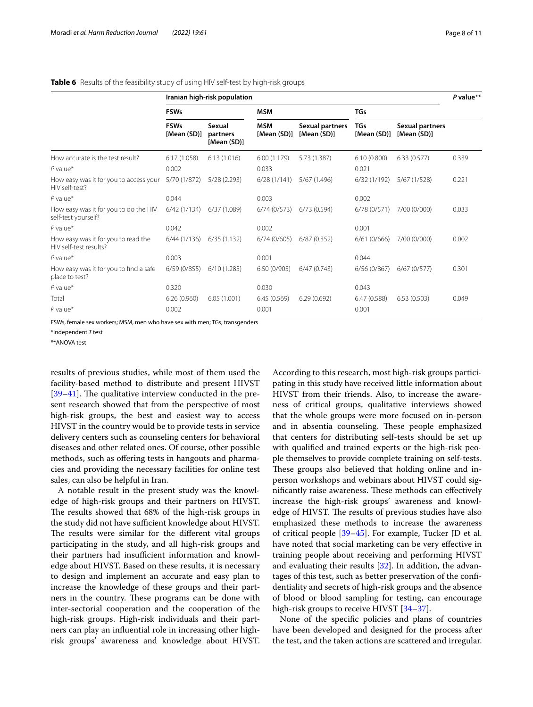<span id="page-7-0"></span>

|  |  |  |  |  |  |  |  | Table 6 Results of the feasibility study of using HIV self-test by high-risk groups |
|--|--|--|--|--|--|--|--|-------------------------------------------------------------------------------------|
|--|--|--|--|--|--|--|--|-------------------------------------------------------------------------------------|

|                                                               | Iranian high-risk population |                                   |                           |                                |                    |                                |       |
|---------------------------------------------------------------|------------------------------|-----------------------------------|---------------------------|--------------------------------|--------------------|--------------------------------|-------|
|                                                               | <b>FSWs</b>                  |                                   | <b>MSM</b>                |                                | <b>TGs</b>         |                                |       |
|                                                               | <b>FSWs</b><br>[Mean (SD)]   | Sexual<br>partners<br>[Mean (SD)] | <b>MSM</b><br>[Mean (SD)] | Sexual partners<br>[Mean (SD)] | TGs<br>[Mean (SD)] | Sexual partners<br>[Mean (SD)] |       |
| How accurate is the test result?                              | 6.17(1.058)                  | 6.13(1.016)                       | 6.00(1.179)               | 5.73 (1.387)                   | 6.10(0.800)        | 6.33(0.577)                    | 0.339 |
| $P$ value*                                                    | 0.002                        |                                   | 0.033                     |                                | 0.021              |                                |       |
| How easy was it for you to access your<br>HIV self-test?      | 5/70 (1/872)                 | 5/28(2.293)                       | 6/28(1/141)               | 5/67 (1.496)                   | 6/32(1/192)        | 5/67 (1/528)                   | 0.221 |
| $P$ value*                                                    | 0.044                        |                                   | 0.003                     |                                | 0.002              |                                |       |
| How easy was it for you to do the HIV<br>self-test yourself?  | $6/42$ (1/134)               | 6/37 (1.089)                      | 6/74(0/573)               | 6/73 (0.594)                   | 6/78 (0/571)       | 7/00 (0/000)                   | 0.033 |
| $P$ value*                                                    | 0.042                        |                                   | 0.002                     |                                | 0.001              |                                |       |
| How easy was it for you to read the<br>HIV self-test results? | 6/44(1/136)                  | 6/35(1.132)                       | 6/74(0/605)               | 6/87(0.352)                    | 6/61(0/666)        | 7/00 (0/000)                   | 0.002 |
| $P$ value*                                                    | 0.003                        |                                   | 0.001                     |                                | 0.044              |                                |       |
| How easy was it for you to find a safe<br>place to test?      | 6/59(0/855)                  | 6/10(1.285)                       | 6.50(0/905)               | 6/47(0.743)                    | 6/56(0/867)        | 6/67(0/577)                    | 0.301 |
| $P$ value*                                                    | 0.320                        |                                   | 0.030                     |                                | 0.043              |                                |       |
| Total                                                         | 6.26(0.960)                  | 6.05(1.001)                       | 6.45(0.569)               | 6.29(0.692)                    | 6.47(0.588)        | 6.53(0.503)                    | 0.049 |
| $P$ value*                                                    | 0.002                        |                                   | 0.001                     |                                | 0.001              |                                |       |

FSWs, female sex workers; MSM, men who have sex with men; TGs, transgenders

\*Independent *T* test

\*\*ANOVA test

results of previous studies, while most of them used the facility-based method to distribute and present HIVST  $[39-41]$  $[39-41]$  $[39-41]$ . The qualitative interview conducted in the present research showed that from the perspective of most high-risk groups, the best and easiest way to access HIVST in the country would be to provide tests in service delivery centers such as counseling centers for behavioral diseases and other related ones. Of course, other possible methods, such as ofering tests in hangouts and pharmacies and providing the necessary facilities for online test sales, can also be helpful in Iran.

A notable result in the present study was the knowledge of high-risk groups and their partners on HIVST. The results showed that 68% of the high-risk groups in the study did not have sufficient knowledge about HIVST. The results were similar for the different vital groups participating in the study, and all high-risk groups and their partners had insufficient information and knowledge about HIVST. Based on these results, it is necessary to design and implement an accurate and easy plan to increase the knowledge of these groups and their partners in the country. These programs can be done with inter-sectorial cooperation and the cooperation of the high-risk groups. High-risk individuals and their partners can play an infuential role in increasing other highrisk groups' awareness and knowledge about HIVST.

According to this research, most high-risk groups participating in this study have received little information about HIVST from their friends. Also, to increase the awareness of critical groups, qualitative interviews showed that the whole groups were more focused on in-person and in absentia counseling. These people emphasized that centers for distributing self-tests should be set up with qualifed and trained experts or the high-risk people themselves to provide complete training on self-tests. These groups also believed that holding online and inperson workshops and webinars about HIVST could significantly raise awareness. These methods can effectively increase the high-risk groups' awareness and knowledge of HIVST. The results of previous studies have also emphasized these methods to increase the awareness of critical people [[39–](#page-10-15)[45](#page-10-17)]. For example, Tucker JD et al. have noted that social marketing can be very efective in training people about receiving and performing HIVST and evaluating their results [\[32](#page-10-18)]. In addition, the advantages of this test, such as better preservation of the confdentiality and secrets of high-risk groups and the absence of blood or blood sampling for testing, can encourage high-risk groups to receive HIVST [34-[37\]](#page-10-20).

None of the specifc policies and plans of countries have been developed and designed for the process after the test, and the taken actions are scattered and irregular.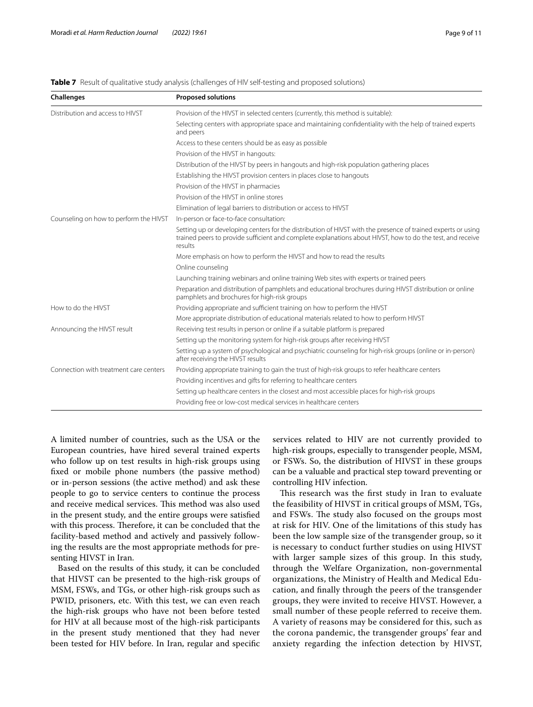#### <span id="page-8-0"></span>**Table 7** Result of qualitative study analysis (challenges of HIV self-testing and proposed solutions)

| <b>Proposed solutions</b>                                                                                                                                                                                                             |  |  |  |  |
|---------------------------------------------------------------------------------------------------------------------------------------------------------------------------------------------------------------------------------------|--|--|--|--|
| Provision of the HIVST in selected centers (currently, this method is suitable):                                                                                                                                                      |  |  |  |  |
| Selecting centers with appropriate space and maintaining confidentiality with the help of trained experts<br>and peers                                                                                                                |  |  |  |  |
| Access to these centers should be as easy as possible                                                                                                                                                                                 |  |  |  |  |
| Provision of the HIVST in hangouts:                                                                                                                                                                                                   |  |  |  |  |
| Distribution of the HIVST by peers in hangouts and high-risk population gathering places                                                                                                                                              |  |  |  |  |
| Establishing the HIVST provision centers in places close to hangouts                                                                                                                                                                  |  |  |  |  |
| Provision of the HIVST in pharmacies                                                                                                                                                                                                  |  |  |  |  |
| Provision of the HIVST in online stores                                                                                                                                                                                               |  |  |  |  |
| Elimination of legal barriers to distribution or access to HIVST                                                                                                                                                                      |  |  |  |  |
| In-person or face-to-face consultation:                                                                                                                                                                                               |  |  |  |  |
| Setting up or developing centers for the distribution of HIVST with the presence of trained experts or using<br>trained peers to provide sufficient and complete explanations about HIVST, how to do the test, and receive<br>results |  |  |  |  |
| More emphasis on how to perform the HIVST and how to read the results                                                                                                                                                                 |  |  |  |  |
| Online counseling                                                                                                                                                                                                                     |  |  |  |  |
| Launching training webinars and online training Web sites with experts or trained peers                                                                                                                                               |  |  |  |  |
| Preparation and distribution of pamphlets and educational brochures during HIVST distribution or online<br>pamphlets and brochures for high-risk groups                                                                               |  |  |  |  |
| Providing appropriate and sufficient training on how to perform the HIVST                                                                                                                                                             |  |  |  |  |
| More appropriate distribution of educational materials related to how to perform HIVST                                                                                                                                                |  |  |  |  |
| Receiving test results in person or online if a suitable platform is prepared                                                                                                                                                         |  |  |  |  |
| Setting up the monitoring system for high-risk groups after receiving HIVST                                                                                                                                                           |  |  |  |  |
| Setting up a system of psychological and psychiatric counseling for high-risk groups (online or in-person)<br>after receiving the HIVST results                                                                                       |  |  |  |  |
| Providing appropriate training to gain the trust of high-risk groups to refer healthcare centers                                                                                                                                      |  |  |  |  |
| Providing incentives and gifts for referring to healthcare centers                                                                                                                                                                    |  |  |  |  |
| Setting up healthcare centers in the closest and most accessible places for high-risk groups                                                                                                                                          |  |  |  |  |
| Providing free or low-cost medical services in healthcare centers                                                                                                                                                                     |  |  |  |  |
|                                                                                                                                                                                                                                       |  |  |  |  |

A limited number of countries, such as the USA or the European countries, have hired several trained experts who follow up on test results in high-risk groups using fxed or mobile phone numbers (the passive method) or in-person sessions (the active method) and ask these people to go to service centers to continue the process and receive medical services. This method was also used in the present study, and the entire groups were satisfed with this process. Therefore, it can be concluded that the facility-based method and actively and passively following the results are the most appropriate methods for presenting HIVST in Iran.

Based on the results of this study, it can be concluded that HIVST can be presented to the high-risk groups of MSM, FSWs, and TGs, or other high-risk groups such as PWID, prisoners, etc. With this test, we can even reach the high-risk groups who have not been before tested for HIV at all because most of the high-risk participants in the present study mentioned that they had never been tested for HIV before. In Iran, regular and specifc services related to HIV are not currently provided to high-risk groups, especially to transgender people, MSM, or FSWs. So, the distribution of HIVST in these groups can be a valuable and practical step toward preventing or controlling HIV infection.

This research was the first study in Iran to evaluate the feasibility of HIVST in critical groups of MSM, TGs, and FSWs. The study also focused on the groups most at risk for HIV. One of the limitations of this study has been the low sample size of the transgender group, so it is necessary to conduct further studies on using HIVST with larger sample sizes of this group. In this study, through the Welfare Organization, non-governmental organizations, the Ministry of Health and Medical Education, and fnally through the peers of the transgender groups, they were invited to receive HIVST. However, a small number of these people referred to receive them. A variety of reasons may be considered for this, such as the corona pandemic, the transgender groups' fear and anxiety regarding the infection detection by HIVST,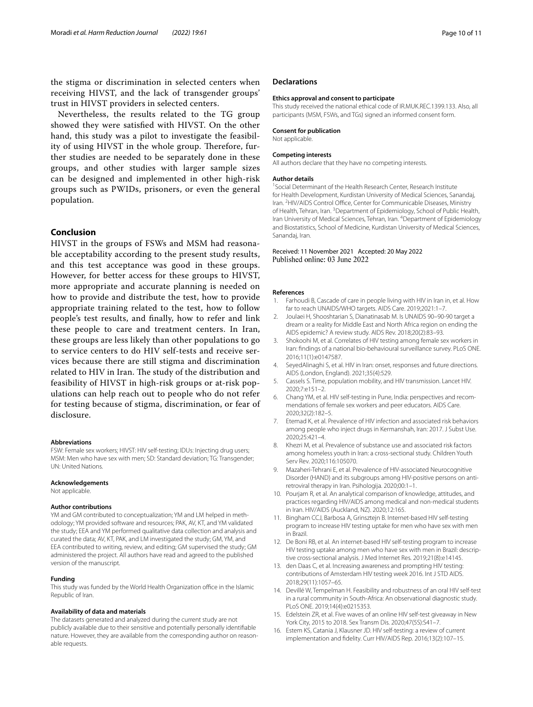the stigma or discrimination in selected centers when receiving HIVST, and the lack of transgender groups' trust in HIVST providers in selected centers.

Nevertheless, the results related to the TG group showed they were satisfed with HIVST. On the other hand, this study was a pilot to investigate the feasibility of using HIVST in the whole group. Therefore, further studies are needed to be separately done in these groups, and other studies with larger sample sizes can be designed and implemented in other high-risk groups such as PWIDs, prisoners, or even the general population.

#### **Conclusion**

HIVST in the groups of FSWs and MSM had reasonable acceptability according to the present study results, and this test acceptance was good in these groups. However, for better access for these groups to HIVST, more appropriate and accurate planning is needed on how to provide and distribute the test, how to provide appropriate training related to the test, how to follow people's test results, and fnally, how to refer and link these people to care and treatment centers. In Iran, these groups are less likely than other populations to go to service centers to do HIV self-tests and receive services because there are still stigma and discrimination related to HIV in Iran. The study of the distribution and feasibility of HIVST in high-risk groups or at-risk populations can help reach out to people who do not refer for testing because of stigma, discrimination, or fear of disclosure.

#### **Abbreviations**

FSW: Female sex workers; HIVST: HIV self-testing; IDUs: Injecting drug users; MSM: Men who have sex with men; SD: Standard deviation; TG: Transgender; UN: United Nations.

#### **Acknowledgements**

Not applicable.

#### **Author contributions**

YM and GM contributed to conceptualization; YM and LM helped in methodology; YM provided software and resources; PAK, AV, KT, and YM validated the study; EEA and YM performed qualitative data collection and analysis and curated the data; AV, KT, PAK, and LM investigated the study; GM, YM, and EEA contributed to writing, review, and editing; GM supervised the study; GM administered the project. All authors have read and agreed to the published version of the manuscript.

#### **Funding**

This study was funded by the World Health Organization office in the Islamic Republic of Iran.

#### **Availability of data and materials**

The datasets generated and analyzed during the current study are not publicly available due to their sensitive and potentially personally identifable nature. However, they are available from the corresponding author on reasonable requests.

#### **Declarations**

#### **Ethics approval and consent to participate**

This study received the national ethical code of IR.MUK.REC.1399.133. Also, all participants (MSM, FSWs, and TGs) signed an informed consent form.

#### **Consent for publication**

Not applicable.

#### **Competing interests**

All authors declare that they have no competing interests.

#### **Author details**

<sup>1</sup> Social Determinant of the Health Research Center, Research Institute for Health Development, Kurdistan University of Medical Sciences, Sanandaj, Iran. <sup>2</sup> HIV/AIDS Control Office, Center for Communicable Diseases, Ministry of Health, Tehran, Iran.<sup>3</sup> Department of Epidemiology, School of Public Health, Iran University of Medical Sciences, Tehran, Iran. <sup>4</sup> Department of Epidemiology and Biostatistics, School of Medicine, Kurdistan University of Medical Sciences, Sanandaj, Iran.

#### Received: 11 November 2021 Accepted: 20 May 2022 Published online: 03 June 2022

#### **References**

- <span id="page-9-0"></span>Farhoudi B, Cascade of care in people living with HIV in Iran in, et al. How far to reach UNAIDS/WHO targets. AIDS Care. 2019;2021:1–7.
- <span id="page-9-1"></span>2. Joulaei H, Shooshtarian S, Dianatinasab M. Is UNAIDS 90–90-90 target a dream or a reality for Middle East and North Africa region on ending the AIDS epidemic? A review study. AIDS Rev. 2018;20(2):83–93.
- <span id="page-9-2"></span>3. Shokoohi M, et al. Correlates of HIV testing among female sex workers in Iran: fndings of a national bio-behavioural surveillance survey. PLoS ONE. 2016;11(1):e0147587.
- <span id="page-9-3"></span>4. SeyedAlinaghi S, et al. HIV in Iran: onset, responses and future directions. AIDS (London, England). 2021;35(4):529.
- <span id="page-9-4"></span>5. Cassels S. Time, population mobility, and HIV transmission. Lancet HIV. 2020;7:e151–2.
- <span id="page-9-5"></span>6. Chang YM, et al. HIV self-testing in Pune, India: perspectives and recommendations of female sex workers and peer educators. AIDS Care. 2020;32(2):182–5.
- 7. Etemad K, et al. Prevalence of HIV infection and associated risk behaviors among people who inject drugs in Kermanshah, Iran: 2017. J Subst Use. 2020;25:421–4.
- 8. Khezri M, et al. Prevalence of substance use and associated risk factors among homeless youth in Iran: a cross-sectional study. Children Youth Serv Rev. 2020;116:105070.
- 9. Mazaheri-Tehrani E, et al. Prevalence of HIV-associated Neurocognitive Disorder (HAND) and its subgroups among HIV-positive persons on antiretroviral therapy in Iran. Psihologija. 2020;00:1–1.
- <span id="page-9-6"></span>10. Pourjam R, et al. An analytical comparison of knowledge, attitudes, and practices regarding HIV/AIDS among medical and non-medical students in Iran. HIV/AIDS (Auckland, NZ). 2020;12:165.
- <span id="page-9-7"></span>11. Bingham CCJ, Barbosa A, Grinsztejn B. Internet-based HIV self-testing program to increase HIV testing uptake for men who have sex with men in Brazil.
- <span id="page-9-8"></span>12. De Boni RB, et al. An internet-based HIV self-testing program to increase HIV testing uptake among men who have sex with men in Brazil: descriptive cross-sectional analysis. J Med Internet Res. 2019;21(8):e14145.
- <span id="page-9-9"></span>13. den Daas C, et al. Increasing awareness and prompting HIV testing: contributions of Amsterdam HIV testing week 2016. Int J STD AIDS. 2018;29(11):1057–65.
- 14. Devillé W, Tempelman H. Feasibility and robustness of an oral HIV self-test in a rural community in South-Africa: An observational diagnostic study. PLoS ONE. 2019;14(4):e0215353.
- 15. Edelstein ZR, et al. Five waves of an online HIV self-test giveaway in New York City, 2015 to 2018. Sex Transm Dis. 2020;47(5S):S41–7.
- <span id="page-9-10"></span>16. Estem KS, Catania J, Klausner JD. HIV self-testing: a review of current implementation and fdelity. Curr HIV/AIDS Rep. 2016;13(2):107–15.